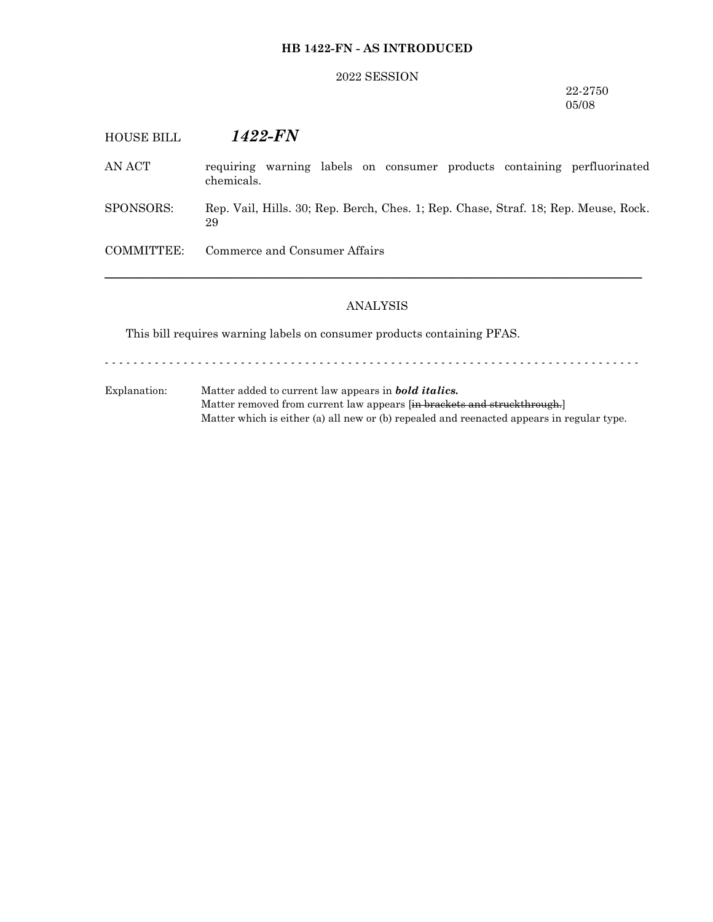## **HB 1422-FN - AS INTRODUCED**

#### 2022 SESSION

### 22-2750 05/08

| <b>HOUSE BILL</b> | 1422-FN                                                                                   |
|-------------------|-------------------------------------------------------------------------------------------|
| AN ACT            | warning labels on consumer products containing perfluorinated<br>requiring<br>chemicals.  |
| SPONSORS:         | Rep. Vail, Hills. 30; Rep. Berch, Ches. 1; Rep. Chase, Straf. 18; Rep. Meuse, Rock.<br>29 |
| COMMITTEE:        | Commerce and Consumer Affairs                                                             |
|                   |                                                                                           |

## ANALYSIS

This bill requires warning labels on consumer products containing PFAS.

- - - - - - - - - - - - - - - - - - - - - - - - - - - - - - - - - - - - - - - - - - - - - - - - - - - - - - - - - - - - - - - - - - - - - - - - - - -

Explanation: Matter added to current law appears in *bold italics.* Matter removed from current law appears [in brackets and struckthrough.] Matter which is either (a) all new or (b) repealed and reenacted appears in regular type.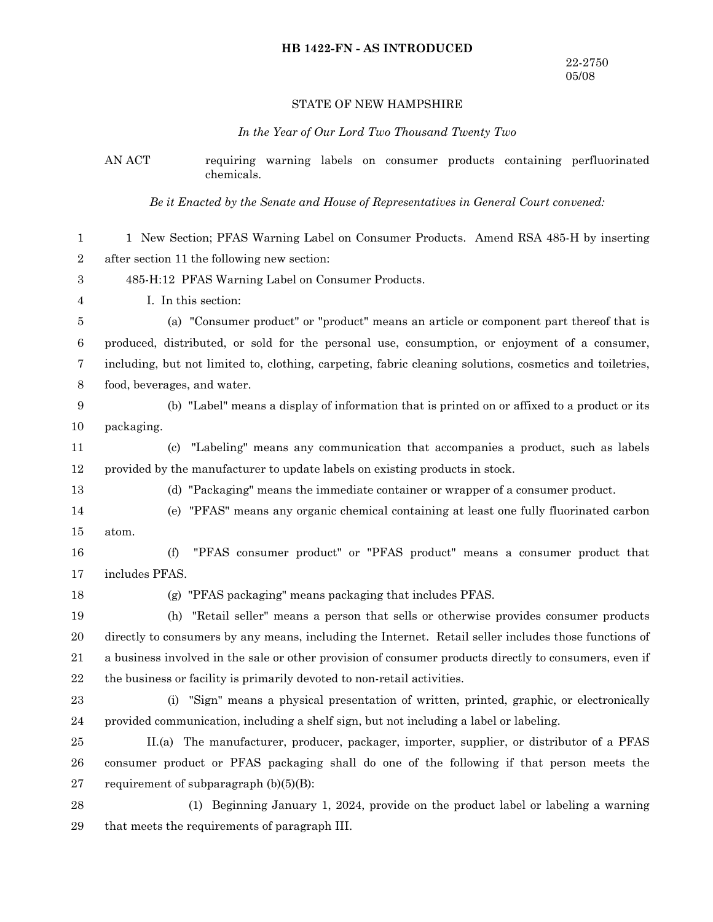## **HB 1422-FN - AS INTRODUCED**

# STATE OF NEW HAMPSHIRE

# *In the Year of Our Lord Two Thousand Twenty Two*

AN ACT requiring warning labels on consumer products containing perfluorinated

|                  | chemicals.                                                                                               |
|------------------|----------------------------------------------------------------------------------------------------------|
|                  | Be it Enacted by the Senate and House of Representatives in General Court convened:                      |
| 1                | 1 New Section; PFAS Warning Label on Consumer Products. Amend RSA 485-H by inserting                     |
| $\boldsymbol{2}$ | after section 11 the following new section:                                                              |
| 3                | 485-H:12 PFAS Warning Label on Consumer Products.                                                        |
| 4                | I. In this section:                                                                                      |
| 5                | (a) "Consumer product" or "product" means an article or component part thereof that is                   |
| $\,6$            | produced, distributed, or sold for the personal use, consumption, or enjoyment of a consumer,            |
| 7                | including, but not limited to, clothing, carpeting, fabric cleaning solutions, cosmetics and toiletries, |
| $\,8\,$          | food, beverages, and water.                                                                              |
| 9                | (b) "Label" means a display of information that is printed on or affixed to a product or its             |
| 10               | packaging.                                                                                               |
| 11               | "Labeling" means any communication that accompanies a product, such as labels<br>(c)                     |
| 12               | provided by the manufacturer to update labels on existing products in stock.                             |
| 13               | (d) "Packaging" means the immediate container or wrapper of a consumer product.                          |
| 14               | (e) "PFAS" means any organic chemical containing at least one fully fluorinated carbon                   |
| 15               | atom.                                                                                                    |
| 16               | "PFAS consumer product" or "PFAS product" means a consumer product that<br>(f)                           |
| 17               | includes PFAS.                                                                                           |
| 18               | (g) "PFAS packaging" means packaging that includes PFAS.                                                 |
| 19               | "Retail seller" means a person that sells or otherwise provides consumer products<br>(h)                 |
| 20               | directly to consumers by any means, including the Internet. Retail seller includes those functions of    |
| 21               | a business involved in the sale or other provision of consumer products directly to consumers, even if   |
| $\bf 22$         | the business or facility is primarily devoted to non-retail activities.                                  |
| 23               | "Sign" means a physical presentation of written, printed, graphic, or electronically<br>(i)              |
| 24               | provided communication, including a shelf sign, but not including a label or labeling.                   |
| 25               | II.(a) The manufacturer, producer, packager, importer, supplier, or distributor of a PFAS                |
| 26               | consumer product or PFAS packaging shall do one of the following if that person meets the                |
| 27               | requirement of subparagraph $(b)(5)(B)$ :                                                                |
| 28               | (1) Beginning January 1, 2024, provide on the product label or labeling a warning                        |
| 29               | that meets the requirements of paragraph III.                                                            |
|                  |                                                                                                          |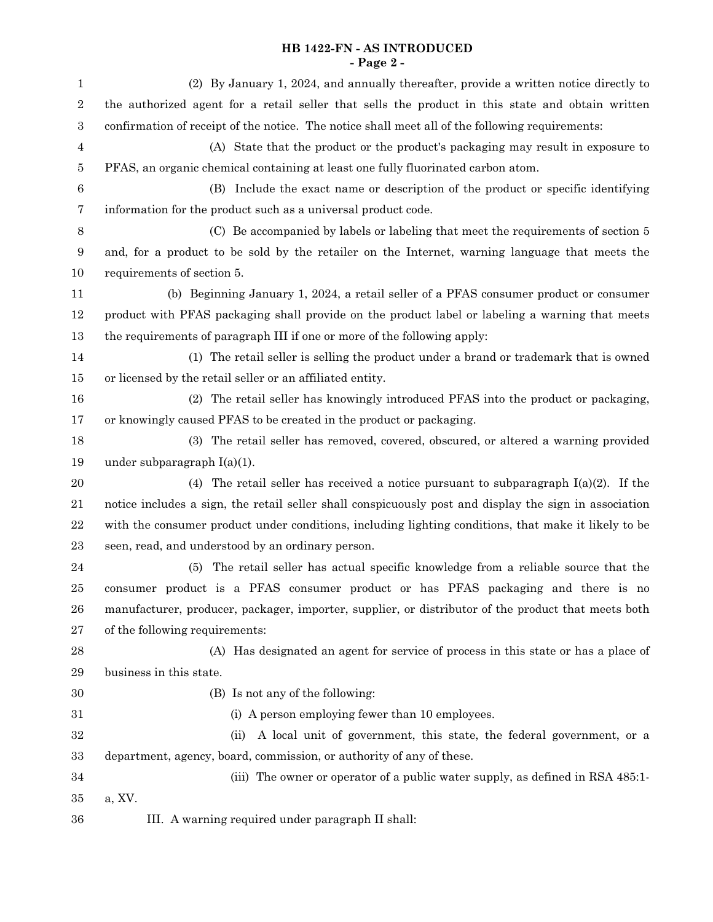### **HB 1422-FN - AS INTRODUCED - Page 2 -**

| 1                | (2) By January 1, 2024, and annually thereafter, provide a written notice directly to                  |
|------------------|--------------------------------------------------------------------------------------------------------|
| $\sqrt{2}$       | the authorized agent for a retail seller that sells the product in this state and obtain written       |
| $\,3$            | confirmation of receipt of the notice. The notice shall meet all of the following requirements:        |
| 4                | (A) State that the product or the product's packaging may result in exposure to                        |
| 5                | PFAS, an organic chemical containing at least one fully fluorinated carbon atom.                       |
| $\boldsymbol{6}$ | (B) Include the exact name or description of the product or specific identifying                       |
| 7                | information for the product such as a universal product code.                                          |
| $8\phantom{1}$   | (C) Be accompanied by labels or labeling that meet the requirements of section 5                       |
| 9                | and, for a product to be sold by the retailer on the Internet, warning language that meets the         |
| 10               | requirements of section 5.                                                                             |
| 11               | (b) Beginning January 1, 2024, a retail seller of a PFAS consumer product or consumer                  |
| 12               | product with PFAS packaging shall provide on the product label or labeling a warning that meets        |
| 13               | the requirements of paragraph III if one or more of the following apply:                               |
| 14               | (1) The retail seller is selling the product under a brand or trademark that is owned                  |
| $15\,$           | or licensed by the retail seller or an affiliated entity.                                              |
| 16               | (2) The retail seller has knowingly introduced PFAS into the product or packaging,                     |
| 17               | or knowingly caused PFAS to be created in the product or packaging.                                    |
| 18               | (3) The retail seller has removed, covered, obscured, or altered a warning provided                    |
| 19               | under subparagraph $I(a)(1)$ .                                                                         |
| 20               | (4) The retail seller has received a notice pursuant to subparagraph $I(a)(2)$ . If the                |
| 21               | notice includes a sign, the retail seller shall conspicuously post and display the sign in association |
| 22               | with the consumer product under conditions, including lighting conditions, that make it likely to be   |
| 23               | seen, read, and understood by an ordinary person.                                                      |
| 24               | The retail seller has actual specific knowledge from a reliable source that the<br>(5)                 |
| 25               | consumer product is a PFAS consumer product or has PFAS packaging and there is no                      |
| 26               | manufacturer, producer, packager, importer, supplier, or distributor of the product that meets both    |
| 27               | of the following requirements:                                                                         |
| 28               | (A) Has designated an agent for service of process in this state or has a place of                     |
| 29               | business in this state.                                                                                |
| 30               | (B) Is not any of the following:                                                                       |
| 31               | (i) A person employing fewer than 10 employees.                                                        |
| 32               | A local unit of government, this state, the federal government, or a<br>(ii)                           |
| 33               | department, agency, board, commission, or authority of any of these.                                   |
| 34               | (iii) The owner or operator of a public water supply, as defined in RSA 485:1-                         |
| $35\,$           | a, XV.                                                                                                 |
| 36               | III. A warning required under paragraph II shall:                                                      |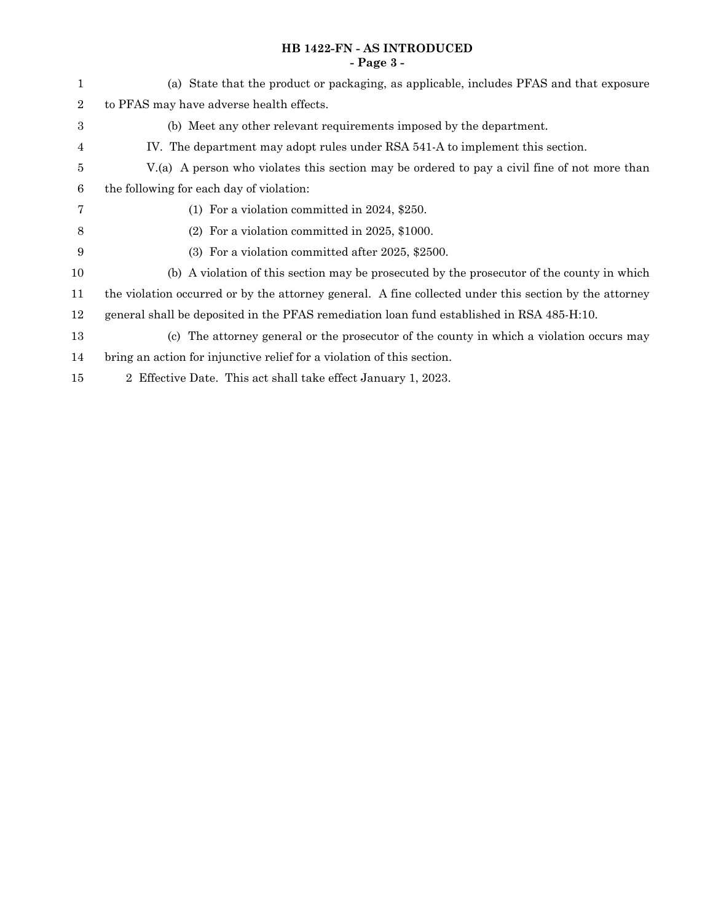### **HB 1422-FN - AS INTRODUCED - Page 3 -**

| 1                | (a) State that the product or packaging, as applicable, includes PFAS and that exposure                |
|------------------|--------------------------------------------------------------------------------------------------------|
| $\overline{2}$   | to PFAS may have adverse health effects.                                                               |
| $\boldsymbol{3}$ | (b) Meet any other relevant requirements imposed by the department.                                    |
| 4                | IV. The department may adopt rules under RSA 541-A to implement this section.                          |
| 5                | V.(a) A person who violates this section may be ordered to pay a civil fine of not more than           |
| 6                | the following for each day of violation:                                                               |
| 7                | (1) For a violation committed in $2024$ , \$250.                                                       |
| 8                | $(2)$ For a violation committed in 2025, \$1000.                                                       |
| 9                | (3) For a violation committed after 2025, \$2500.                                                      |
| 10               | (b) A violation of this section may be prosecuted by the prosecutor of the county in which             |
| 11               | the violation occurred or by the attorney general. A fine collected under this section by the attorney |
| 12               | general shall be deposited in the PFAS remediation loan fund established in RSA 485-H:10.              |
| 13               | (c) The attorney general or the prosecutor of the county in which a violation occurs may               |
| 14               | bring an action for injunctive relief for a violation of this section.                                 |
| 15               | 2 Effective Date. This act shall take effect January 1, 2023.                                          |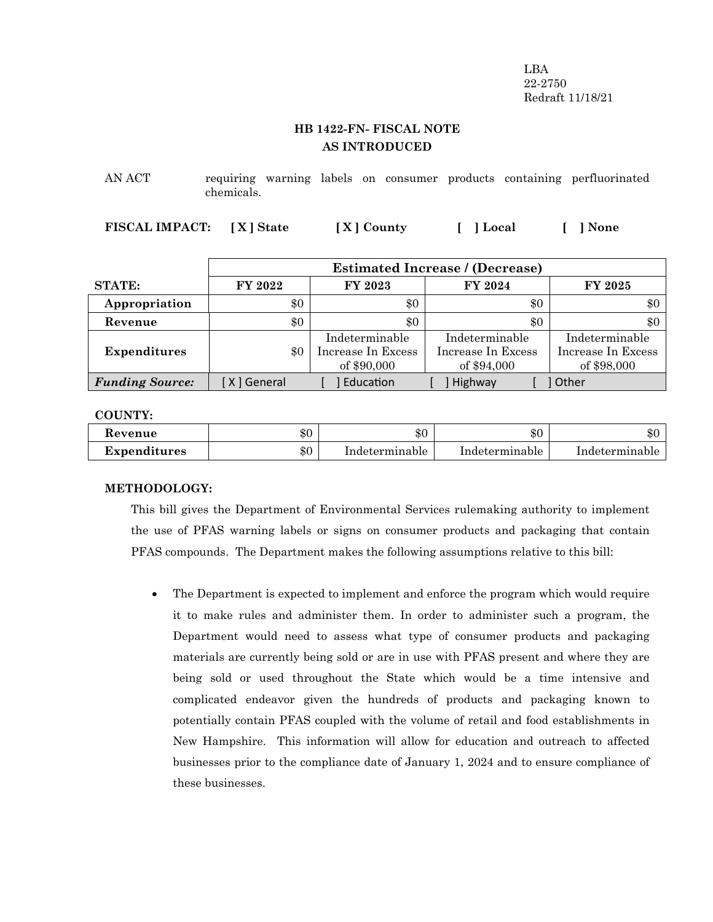LBA 22-2750 Redraft 11/18/21

## **HB 1422-FN- FISCAL NOTE AS INTRODUCED**

AN ACT requiring warning labels on consumer products containing perfluorinated chemicals.

**FISCAL IMPACT: [ X ] State [ X ] County [ ] Local [ ] None**

|                        | <b>Estimated Increase / (Decrease)</b> |                                                     |                                                     |                                                     |
|------------------------|----------------------------------------|-----------------------------------------------------|-----------------------------------------------------|-----------------------------------------------------|
| <b>STATE:</b>          | FY 2022                                | FY 2023                                             | FY 2024                                             | <b>FY 2025</b>                                      |
| Appropriation          | \$0                                    | \$0                                                 | \$0                                                 | \$0                                                 |
| Revenue                | \$0                                    | \$0                                                 | \$0                                                 | \$0                                                 |
| <b>Expenditures</b>    | \$0                                    | Indeterminable<br>Increase In Excess<br>of \$90,000 | Indeterminable<br>Increase In Excess<br>of \$94,000 | Indeterminable<br>Increase In Excess<br>of \$98,000 |
| <b>Funding Source:</b> | [X] General                            | Education                                           | Highway                                             | ] Other                                             |

**COUNTY:**

| Revenue      | ቱ ለ   | ሐ ጦ            | $\triangle$ $\cap$ | $\triangle$ $\cap$ |
|--------------|-------|----------------|--------------------|--------------------|
|              | ক্য   | -DU            | æО                 | . DU               |
| Expenditures | $\$0$ | Indeterminable | Indeterminable     | Indeterminable     |

#### **METHODOLOGY:**

This bill gives the Department of Environmental Services rulemaking authority to implement the use of PFAS warning labels or signs on consumer products and packaging that contain PFAS compounds. The Department makes the following assumptions relative to this bill:

 The Department is expected to implement and enforce the program which would require it to make rules and administer them. In order to administer such a program, the Department would need to assess what type of consumer products and packaging materials are currently being sold or are in use with PFAS present and where they are being sold or used throughout the State which would be a time intensive and complicated endeavor given the hundreds of products and packaging known to potentially contain PFAS coupled with the volume of retail and food establishments in New Hampshire. This information will allow for education and outreach to affected businesses prior to the compliance date of January 1, 2024 and to ensure compliance of these businesses.